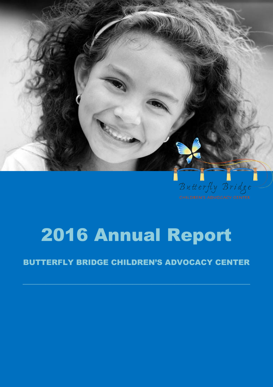

# 2016 Annual Report

#### BUTTERFLY BRIDGE CHILDREN'S ADVOCACY CENTER

 $\mathcal{L}_\text{max} = \mathcal{L}_\text{max} = \mathcal{L}_\text{max} = \mathcal{L}_\text{max} = \mathcal{L}_\text{max} = \mathcal{L}_\text{max} = \mathcal{L}_\text{max} = \mathcal{L}_\text{max} = \mathcal{L}_\text{max} = \mathcal{L}_\text{max} = \mathcal{L}_\text{max} = \mathcal{L}_\text{max} = \mathcal{L}_\text{max} = \mathcal{L}_\text{max} = \mathcal{L}_\text{max} = \mathcal{L}_\text{max} = \mathcal{L}_\text{max} = \mathcal{L}_\text{max} = \mathcal{$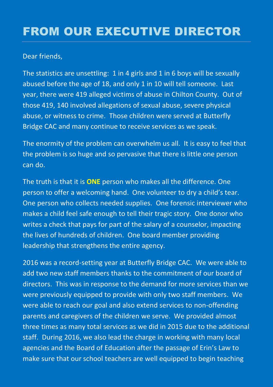### FROM OUR EXECUTIVE DIRECTOR

#### Dear friends,

The statistics are unsettling: 1 in 4 girls and 1 in 6 boys will be sexually abused before the age of 18, and only 1 in 10 will tell someone. Last year, there were 419 alleged victims of abuse in Chilton County. Out of those 419, 140 involved allegations of sexual abuse, severe physical abuse, or witness to crime. Those children were served at Butterfly Bridge CAC and many continue to receive services as we speak.

The enormity of the problem can overwhelm us all. It is easy to feel that the problem is so huge and so pervasive that there is little one person can do.

The truth is that it is **ONE** person who makes all the difference. One person to offer a welcoming hand. One volunteer to dry a child's tear. One person who collects needed supplies. One forensic interviewer who makes a child feel safe enough to tell their tragic story. One donor who writes a check that pays for part of the salary of a counselor, impacting the lives of hundreds of children. One board member providing leadership that strengthens the entire agency.

2016 was a record-setting year at Butterfly Bridge CAC. We were able to add two new staff members thanks to the commitment of our board of directors. This was in response to the demand for more services than we were previously equipped to provide with only two staff members. We were able to reach our goal and also extend services to non-offending parents and caregivers of the children we serve. We provided almost three times as many total services as we did in 2015 due to the additional staff. During 2016, we also lead the charge in working with many local agencies and the Board of Education after the passage of Erin's Law to make sure that our school teachers are well equipped to begin teaching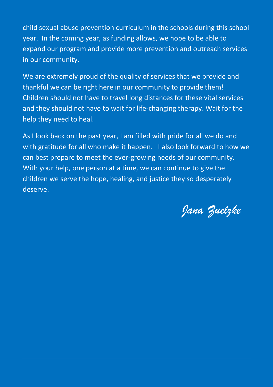child sexual abuse prevention curriculum in the schools during this school year. In the coming year, as funding allows, we hope to be able to expand our program and provide more prevention and outreach services in our community.

We are extremely proud of the quality of services that we provide and thankful we can be right here in our community to provide them! Children should not have to travel long distances for these vital services and they should not have to wait for life-changing therapy. Wait for the help they need to heal.

As I look back on the past year, I am filled with pride for all we do and with gratitude for all who make it happen. I also look forward to how we can best prepare to meet the ever-growing needs of our community. With your help, one person at a time, we can continue to give the children we serve the hope, healing, and justice they so desperately deserve.

*Jana Zuelzke*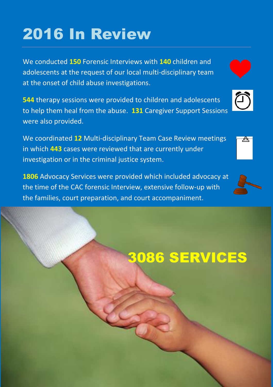# 2016 In Review

We conducted **150** Forensic Interviews with **140** children and adolescents at the request of our local multi-disciplinary team at the onset of child abuse investigations.

**544** therapy sessions were provided to children and adolescents to help them heal from the abuse. **131** Caregiver Support Sessions were also provided.

We coordinated **12** Multi-disciplinary Team Case Review meetings in which **443** cases were reviewed that are currently under investigation or in the criminal justice system.

**1806** Advocacy Services were provided which included advocacy at the time of the CAC forensic Interview, extensive follow-up with the families, court preparation, and court accompaniment.

# 3086 SERVICES





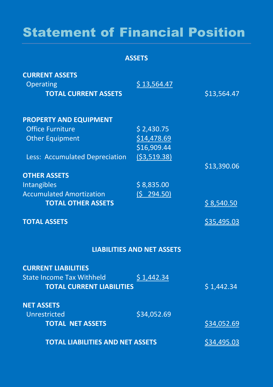### Statement of Financial Position

**ASSETS**

| <b>CURRENT ASSETS</b><br>Operating<br><b>TOTAL CURRENT ASSETS</b> | \$13,564.47                       | \$13,564.47 |
|-------------------------------------------------------------------|-----------------------------------|-------------|
| <b>PROPERTY AND EQUIPMENT</b>                                     |                                   |             |
| <b>Office Furniture</b>                                           | \$2,430.75                        |             |
| <b>Other Equipment</b>                                            | \$14,478.69                       |             |
|                                                                   | \$16,909.44                       |             |
| Less: Accumulated Depreciation                                    | (53,519.38)                       |             |
|                                                                   |                                   | \$13,390.06 |
| <b>OTHER ASSETS</b>                                               |                                   |             |
| Intangibles                                                       | \$8,835.00                        |             |
| <b>Accumulated Amortization</b>                                   | (5 294.50)                        |             |
| <b>TOTAL OTHER ASSETS</b>                                         |                                   | \$8,540.50  |
| <b>TOTAL ASSETS</b>                                               |                                   | \$35,495.03 |
|                                                                   | <b>LIABILITIES AND NET ASSETS</b> |             |
| <b>CURRENT LIABILITIES</b>                                        |                                   |             |
| <b>State Income Tax Withheld</b>                                  | \$1,442.34                        |             |
| <b>TOTAL CURRENT LIABILITIES</b>                                  |                                   | \$1,442.34  |
| <b>NET ASSETS</b>                                                 |                                   |             |
| Unrestricted                                                      | \$34,052.69                       |             |
| <b>TOTAL NET ASSETS</b>                                           |                                   | \$34,052.69 |
| <b>TOTAL LIABILITIES AND NET ASSETS</b>                           |                                   | \$34,495.03 |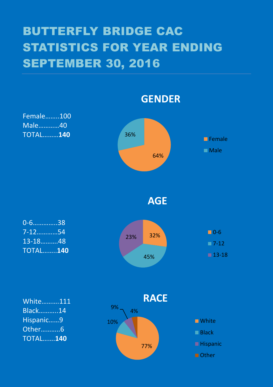### BUTTERFLY BRIDGE CAC STATISTICS FOR YEAR ENDING SEPTEMBER 30, 2016

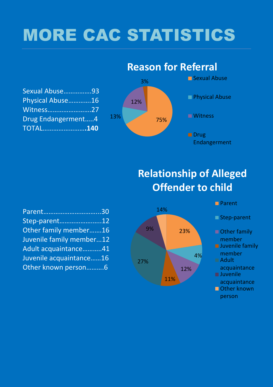# MORE CAC STATISTICS

| Sexual Abuse93     |  |
|--------------------|--|
| Physical Abuse16   |  |
| Witness27          |  |
| Drug Endangerment4 |  |
| <b>TOTAL140</b>    |  |

#### 75% 13% 12% 3% **Sexual Abuse Physical Abuse Witness Drug** Endangerment

**Reason for Referral**

### **Relationship of Alleged Offender to child**

| Parent30                 |  |
|--------------------------|--|
| Step-parent12            |  |
| Other family member16    |  |
| Juvenile family member12 |  |
| Adult acquaintance41     |  |
| Juvenile acquaintance16  |  |
| Other known person6      |  |



#### **Parent**

 $\blacksquare$  Step-parent

- Other family member
- **Juvenile family** member
- Adult
- acquaintance **Juvenile**
- acquaintance
- Other known person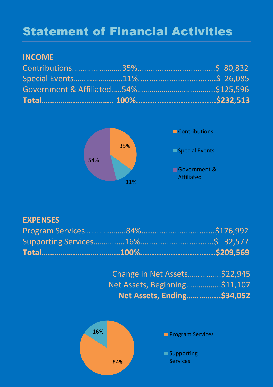### Statement of Financial Activities

#### **INCOME**



#### **EXPENSES**

| Change in Net Assets\$22,945 |  |
|------------------------------|--|
|                              |  |
| Net Assets, Ending\$34,052   |  |

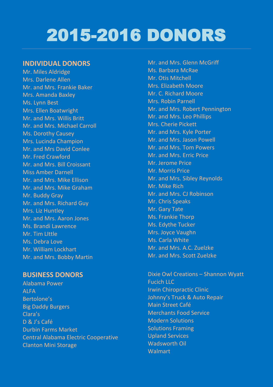## 2015-2016 DONORS

#### **INDIVIDUAL DONORS**

Mr. Miles Aldridge Mrs. Darlene Allen Mr. and Mrs. Frankie Baker Mrs. Amanda Baxley Ms. Lynn Best Mrs. Ellen Boatwright Mr. and Mrs. Willis Britt Mr. and Mrs. Michael Carroll Ms. Dorothy Causey Mrs. Lucinda Champion Mr. and Mrs David Conlee Mr. Fred Crawford Mr. and Mrs. Bill Croissant Miss Amber Darnell Mr. and Mrs. Mike Ellison Mr. and Mrs. Mike Graham Mr. Buddy Gray Mr. and Mrs. Richard Guy Mrs. Liz Huntley Mr. and Mrs. Aaron Jones Ms. Brandi Lawrence Mr. Tim LIttle Ms. Debra Love Mr. William Lockhart Mr. and Mrs. Bobby Martin

#### **BUSINESS DONORS**

Alabama Power **ALFA** Bertolone's Big Daddy Burgers Clara's D & J's Café Durbin Farms Market Central Alabama Electric Cooperative Clanton Mini Storage

Mr. and Mrs. Glenn McGriff Ms. Barbara McRae Mr. Otis Mitchell Mrs. Elizabeth Moore Mr. C. Richard Moore Mrs. Robin Parnell Mr. and Mrs. Robert Pennington Mr. and Mrs. Leo Phillips Mrs. Cherie Pickett Mr. and Mrs. Kyle Porter Mr. and Mrs. Jason Powell Mr. and Mrs. Tom Powers Mr. and Mrs. Erric Price Mr. Jerome Price Mr. Morris Price Mr. and Mrs. Sibley Reynolds Mr. Mike Rich Mr. and Mrs. CJ Robinson Mr. Chris Speaks Mr. Gary Tate Ms. Frankie Thorp Ms. Edythe Tucker Mrs. Joyce Vaughn Ms. Carla White Mr. and Mrs. A.C. Zuelzke Mr. and Mrs. Scott Zuelzke

Dixie Owl Creations – Shannon Wyatt Fucich LLC Irwin Chiropractic Clinic Johnny's Truck & Auto Repair Main Street Café Merchants Food Service Modern Solutions Solutions Framing Upland Services Wadsworth Oil Walmart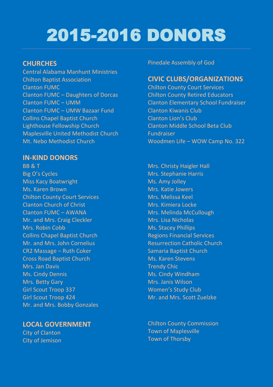# 2015-2016 DONORS

#### **CHURCHES**

Central Alabama Manhunt Ministries Chilton Baptist Association Clanton FUMC Clanton FUMC – Daughters of Dorcas Clanton FUMC – UMM Clanton FUMC – UMW Bazaar Fund Collins Chapel Baptist Church Lighthouse Fellowship Church Maplesville United Methodist Church Mt. Nebo Methodist Church

#### **IN-KIND DONORS**

BB & T Big O's Cycles Miss Kacy Boatwright Ms. Karen Brown Chilton County Court Services Clanton Church of Christ Clanton FUMC – AWANA Mr. and Mrs. Craig Cleckler Mrs. Robin Cobb Collins Chapel Baptist Church Mr. and Mrs. John Cornelius CR2 Massage – Ruth Coker Cross Road Baptist Church Mrs. Jan Davis Ms. Cindy Dennis Mrs. Betty Gary Girl Scout Troop 337 Girl Scout Troop 424 Mr. and Mrs. Bobby Gonzales

#### **LOCAL GOVERNMENT**

City of Clanton City of Jemison

#### Pinedale Assembly of God

#### **CIVIC CLUBS/ORGANIZATIONS**

Chilton County Court Services Chilton County Retired Educators Clanton Elementary School Fundraiser Clanton Kiwanis Club Clanton Lion's Club Clanton Middle School Beta Club Fundraiser Woodmen Life – WOW Camp No. 322

Mrs. Christy Haigler Hall Mrs. Stephanie Harris Ms. Amy Jolley Mrs. Katie Jowers Mrs. Melissa Keel Mrs. Kimiera Locke Mrs. Melinda McCullough Mrs. Lisa Nicholas Ms. Stacey Phillips Regions Financial Services Resurrection Catholic Church Samaria Baptist Church Ms. Karen Stevens Trendy Chic Ms. Cindy Windham Mrs. Janis Wilson Women's Study Club Mr. and Mrs. Scott Zuelzke

Chilton County Commission Town of Maplesville Town of Thorsby